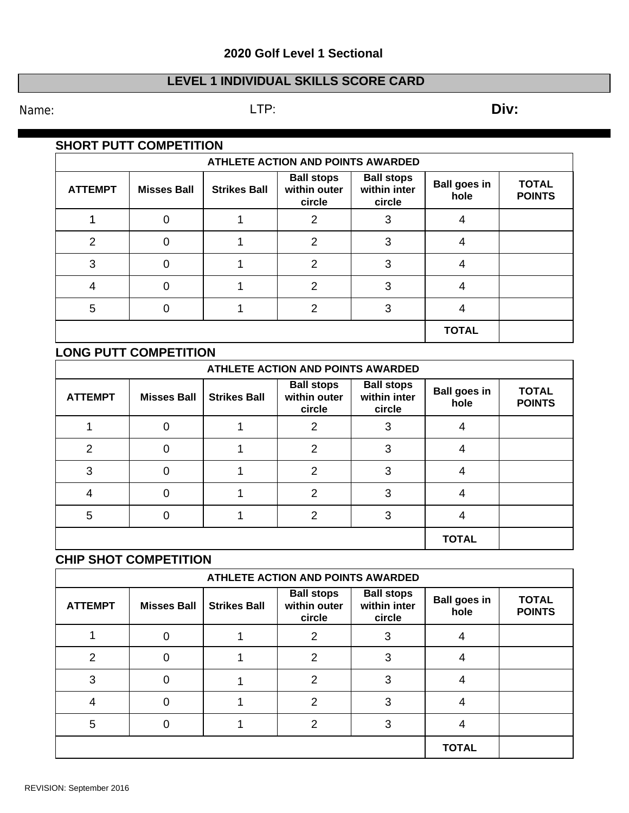# **20 Golf Level 1 Sectional**

## **LEVEL 1 INDIVIDUAL SKILLS SCORE CARD**

Name: **Div:** LTP: LTP: **Div:** 

## **SHORT PUTT COMPETITION**

| ATHLETE ACTION AND POINTS AWARDED |                    |                     |                                             |                                             |                             |                               |  |  |
|-----------------------------------|--------------------|---------------------|---------------------------------------------|---------------------------------------------|-----------------------------|-------------------------------|--|--|
| <b>ATTEMPT</b>                    | <b>Misses Ball</b> | <b>Strikes Ball</b> | <b>Ball stops</b><br>within outer<br>circle | <b>Ball stops</b><br>within inter<br>circle | <b>Ball goes in</b><br>hole | <b>TOTAL</b><br><b>POINTS</b> |  |  |
|                                   |                    |                     | 2                                           | 3                                           | 4                           |                               |  |  |
| $\mathcal{P}$                     | 0                  |                     | 2                                           | 3                                           | 4                           |                               |  |  |
| 3                                 |                    |                     | $\mathcal{P}$                               | 3                                           | 4                           |                               |  |  |
|                                   |                    |                     | 2                                           | 3                                           | 4                           |                               |  |  |
| 5                                 |                    |                     | 2                                           | 3                                           | 4                           |                               |  |  |
|                                   |                    |                     |                                             |                                             | <b>TOTAL</b>                |                               |  |  |

#### **LONG PUTT COMPETITION**

| ATHLETE ACTION AND POINTS AWARDED |                    |                     |                                             |                                             |                             |                               |  |  |
|-----------------------------------|--------------------|---------------------|---------------------------------------------|---------------------------------------------|-----------------------------|-------------------------------|--|--|
| <b>ATTEMPT</b>                    | <b>Misses Ball</b> | <b>Strikes Ball</b> | <b>Ball stops</b><br>within outer<br>circle | <b>Ball stops</b><br>within inter<br>circle | <b>Ball goes in</b><br>hole | <b>TOTAL</b><br><b>POINTS</b> |  |  |
|                                   |                    |                     | 2                                           | 3                                           | 4                           |                               |  |  |
| 2                                 |                    |                     | 2                                           | 3                                           |                             |                               |  |  |
| 3                                 | O                  |                     | 2                                           | 3                                           | 4                           |                               |  |  |
| 4                                 |                    |                     | 2                                           | 3                                           |                             |                               |  |  |
| 5                                 |                    |                     | 2                                           | 3                                           | 4                           |                               |  |  |
|                                   |                    | <b>TOTAL</b>        |                                             |                                             |                             |                               |  |  |

# **CHIP SHOT COMPETITION**

| ATHLETE ACTION AND POINTS AWARDED |                    |                     |                                             |                                             |                             |                               |  |  |
|-----------------------------------|--------------------|---------------------|---------------------------------------------|---------------------------------------------|-----------------------------|-------------------------------|--|--|
| <b>ATTEMPT</b>                    | <b>Misses Ball</b> | <b>Strikes Ball</b> | <b>Ball stops</b><br>within outer<br>circle | <b>Ball stops</b><br>within inter<br>circle | <b>Ball goes in</b><br>hole | <b>TOTAL</b><br><b>POINTS</b> |  |  |
|                                   |                    |                     | 2                                           | 3                                           |                             |                               |  |  |
| 2                                 |                    |                     | 2                                           | 3                                           |                             |                               |  |  |
| з                                 |                    |                     | $\mathcal{P}$                               | 3                                           |                             |                               |  |  |
|                                   |                    |                     | 2                                           | 3                                           |                             |                               |  |  |
| 5                                 |                    |                     | 2                                           | 3                                           |                             |                               |  |  |
|                                   |                    | <b>TOTAL</b>        |                                             |                                             |                             |                               |  |  |